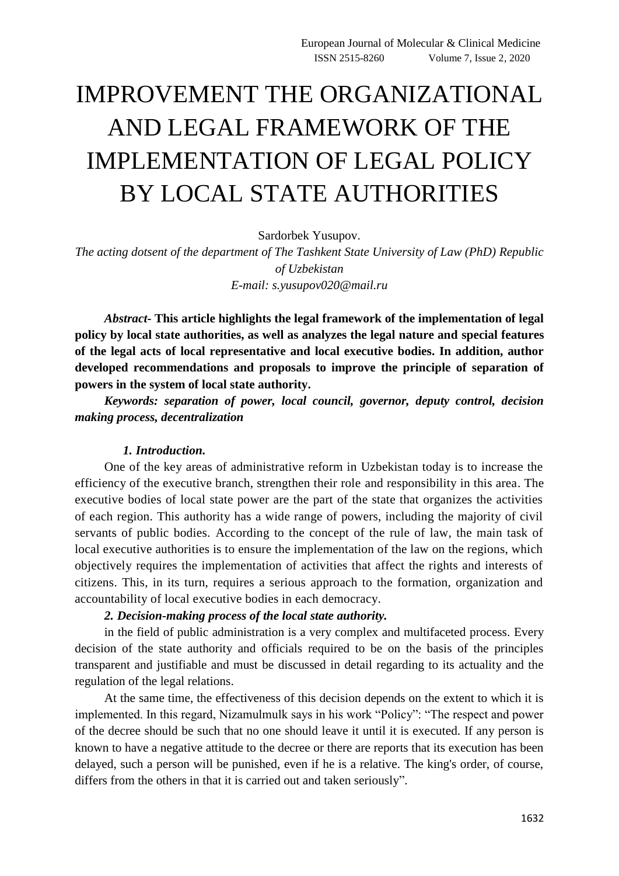# IMPROVEMENT THE ORGANIZATIONAL AND LEGAL FRAMEWORK OF THE IMPLEMENTATION OF LEGAL POLICY BY LOCAL STATE AUTHORITIES

Sardorbek Yusupov.

*The acting dotsent of the department of The Tashkent State University of Law (PhD) Republic of Uzbekistan E-mail: s.yusupov020@mail.ru*

*Abstract-* **This article highlights the legal framework of the implementation of legal policy by local state authorities, as well as analyzes the legal nature and special features of the legal acts of local representative and local executive bodies. In addition, author developed recommendations and proposals to improve the principle of separation of powers in the system of local state authority.** 

*Keywords: separation of power, local council, governor, deputy control, decision making process, decentralization*

#### *1. Introduction.*

One of the key areas of administrative reform in Uzbekistan today is to increase the efficiency of the executive branch, strengthen their role and responsibility in this area. The executive bodies of local state power are the part of the state that organizes the activities of each region. This authority has a wide range of powers, including the majority of civil servants of public bodies. According to the concept of the rule of law, the main task of local executive authorities is to ensure the implementation of the law on the regions, which objectively requires the implementation of activities that affect the rights and interests of citizens. This, in its turn, requires a serious approach to the formation, organization and accountability of local executive bodies in each democracy.

### *2. Decision-making process of the local state authority.*

in the field of public administration is a very complex and multifaceted process. Every decision of the state authority and officials required to be on the basis of the principles transparent and justifiable and must be discussed in detail regarding to its actuality and the regulation of the legal relations.

At the same time, the effectiveness of this decision depends on the extent to which it is implemented. In this regard, Nizamulmulk says in his work "Policy": "The respect and power of the decree should be such that no one should leave it until it is executed. If any person is known to have a negative attitude to the decree or there are reports that its execution has been delayed, such a person will be punished, even if he is a relative. The king's order, of course, differs from the others in that it is carried out and taken seriously".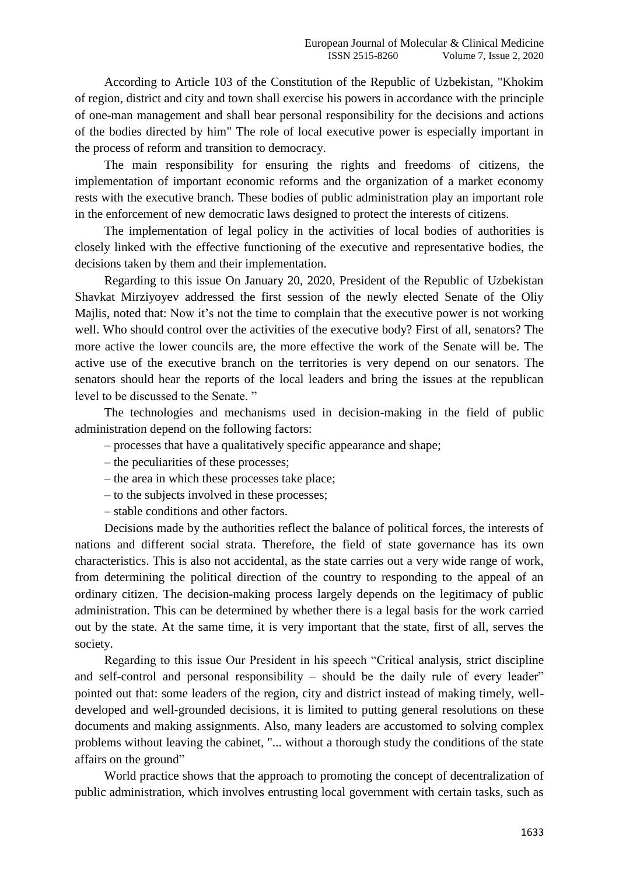According to Article 103 of the Constitution of the Republic of Uzbekistan, "Khokim of region, district and city and town shall exercise his powers in accordance with the principle of one-man management and shall bear personal responsibility for the decisions and actions of the bodies directed by him" The role of local executive power is especially important in the process of reform and transition to democracy.

The main responsibility for ensuring the rights and freedoms of citizens, the implementation of important economic reforms and the organization of a market economy rests with the executive branch. These bodies of public administration play an important role in the enforcement of new democratic laws designed to protect the interests of citizens.

The implementation of legal policy in the activities of local bodies of authorities is closely linked with the effective functioning of the executive and representative bodies, the decisions taken by them and their implementation.

Regarding to this issue On January 20, 2020, President of the Republic of Uzbekistan Shavkat Mirziyoyev addressed the first session of the newly elected Senate of the Oliy Majlis, noted that: Now it's not the time to complain that the executive power is not working well. Who should control over the activities of the executive body? First of all, senators? The more active the lower councils are, the more effective the work of the Senate will be. The active use of the executive branch on the territories is very depend on our senators. The senators should hear the reports of the local leaders and bring the issues at the republican level to be discussed to the Senate. "

The technologies and mechanisms used in decision-making in the field of public administration depend on the following factors:

- processes that have a qualitatively specific appearance and shape;
- the peculiarities of these processes;
- the area in which these processes take place;
- to the subjects involved in these processes;
- stable conditions and other factors.

Decisions made by the authorities reflect the balance of political forces, the interests of nations and different social strata. Therefore, the field of state governance has its own characteristics. This is also not accidental, as the state carries out a very wide range of work, from determining the political direction of the country to responding to the appeal of an ordinary citizen. The decision-making process largely depends on the legitimacy of public administration. This can be determined by whether there is a legal basis for the work carried out by the state. At the same time, it is very important that the state, first of all, serves the society.

Regarding to this issue Our President in his speech "Critical analysis, strict discipline and self-control and personal responsibility – should be the daily rule of every leader" pointed out that: some leaders of the region, city and district instead of making timely, welldeveloped and well-grounded decisions, it is limited to putting general resolutions on these documents and making assignments. Also, many leaders are accustomed to solving complex problems without leaving the cabinet, "... without a thorough study the conditions of the state affairs on the ground"

World practice shows that the approach to promoting the concept of decentralization of public administration, which involves entrusting local government with certain tasks, such as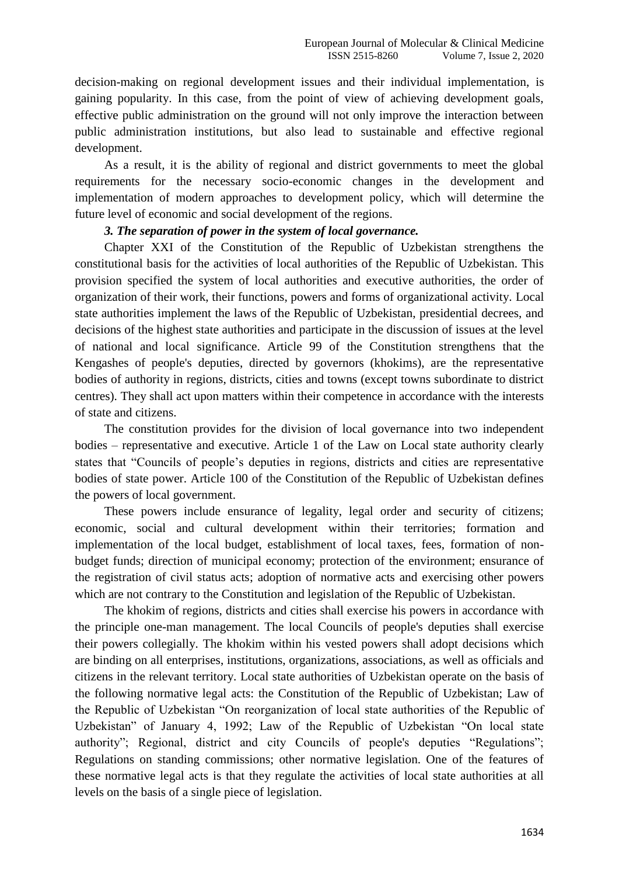decision-making on regional development issues and their individual implementation, is gaining popularity. In this case, from the point of view of achieving development goals, effective public administration on the ground will not only improve the interaction between public administration institutions, but also lead to sustainable and effective regional development.

As a result, it is the ability of regional and district governments to meet the global requirements for the necessary socio-economic changes in the development and implementation of modern approaches to development policy, which will determine the future level of economic and social development of the regions.

#### *3. The separation of power in the system of local governance.*

Chapter XXI of the Constitution of the Republic of Uzbekistan strengthens the constitutional basis for the activities of local authorities of the Republic of Uzbekistan. This provision specified the system of local authorities and executive authorities, the order of organization of their work, their functions, powers and forms of organizational activity. Local state authorities implement the laws of the Republic of Uzbekistan, presidential decrees, and decisions of the highest state authorities and participate in the discussion of issues at the level of national and local significance. Article 99 of the Constitution strengthens that the Kengashes of people's deputies, directed by governors (khokims), are the representative bodies of authority in regions, districts, cities and towns (except towns subordinate to district centres). They shall act upon matters within their competence in accordance with the interests of state and citizens.

The constitution provides for the division of local governance into two independent bodies – representative and executive. Article 1 of the Law on Local state authority clearly states that "Councils of people's deputies in regions, districts and cities are representative bodies of state power. Article 100 of the Constitution of the Republic of Uzbekistan defines the powers of local government.

These powers include ensurance of legality, legal order and security of citizens; economic, social and cultural development within their territories; formation and implementation of the local budget, establishment of local taxes, fees, formation of nonbudget funds; direction of municipal economy; protection of the environment; ensurance of the registration of civil status acts; adoption of normative acts and exercising other powers which are not contrary to the Constitution and legislation of the Republic of Uzbekistan.

The khokim of regions, districts and cities shall exercise his powers in accordance with the principle one-man management. The local Councils of people's deputies shall exercise their powers collegially. The khokim within his vested powers shall adopt decisions which are binding on all enterprises, institutions, organizations, associations, as well as officials and citizens in the relevant territory. Local state authorities of Uzbekistan operate on the basis of the following normative legal acts: the Constitution of the Republic of Uzbekistan; Law of the Republic of Uzbekistan "On reorganization of local state authorities of the Republic of Uzbekistan" of January 4, 1992; Law of the Republic of Uzbekistan "On local state authority"; Regional, district and city Councils of people's deputies "Regulations"; Regulations on standing commissions; other normative legislation. One of the features of these normative legal acts is that they regulate the activities of local state authorities at all levels on the basis of a single piece of legislation.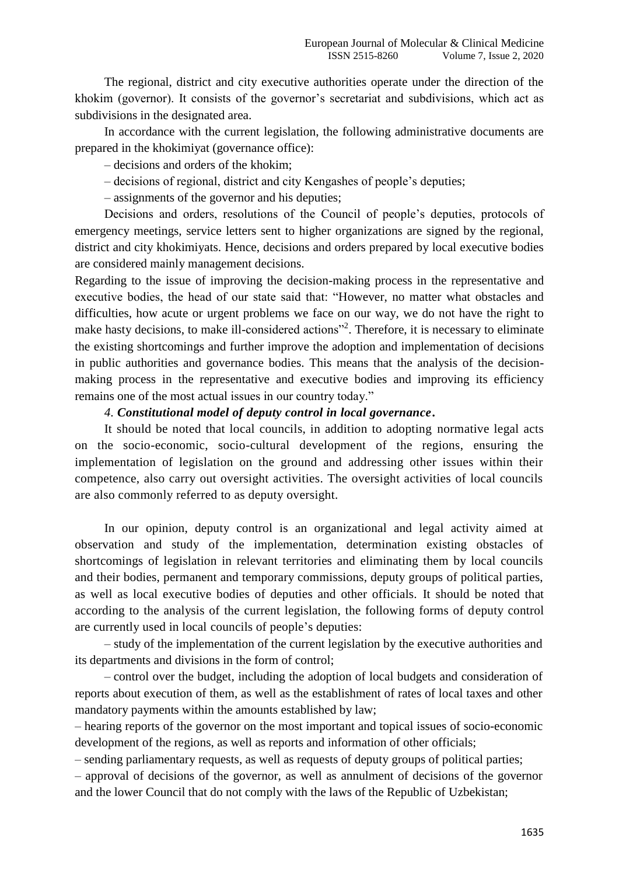The regional, district and city executive authorities operate under the direction of the khokim (governor). It consists of the governor's secretariat and subdivisions, which act as subdivisions in the designated area.

In accordance with the current legislation, the following administrative documents are prepared in the khokimiyat (governance office):

– decisions and orders of the khokim;

– decisions of regional, district and city Kengashes of people's deputies;

– assignments of the governor and his deputies;

Decisions and orders, resolutions of the Council of people's deputies, protocols of emergency meetings, service letters sent to higher organizations are signed by the regional, district and city khokimiyats. Hence, decisions and orders prepared by local executive bodies are considered mainly management decisions.

Regarding to the issue of improving the decision-making process in the representative and executive bodies, the head of our state said that: "However, no matter what obstacles and difficulties, how acute or urgent problems we face on our way, we do not have the right to make hasty decisions, to make ill-considered actions"<sup>2</sup>. Therefore, it is necessary to eliminate the existing shortcomings and further improve the adoption and implementation of decisions in public authorities and governance bodies. This means that the analysis of the decisionmaking process in the representative and executive bodies and improving its efficiency remains one of the most actual issues in our country today."

### *4. Constitutional model of deputy control in local governance***.**

It should be noted that local councils, in addition to adopting normative legal acts on the socio-economic, socio-cultural development of the regions, ensuring the implementation of legislation on the ground and addressing other issues within their competence, also carry out oversight activities. The oversight activities of local councils are also commonly referred to as deputy oversight.

In our opinion, deputy control is an organizational and legal activity aimed at observation and study of the implementation, determination existing obstacles of shortcomings of legislation in relevant territories and eliminating them by local councils and their bodies, permanent and temporary commissions, deputy groups of political parties, as well as local executive bodies of deputies and other officials. It should be noted that according to the analysis of the current legislation, the following forms of deputy control are currently used in local councils of people's deputies:

– study of the implementation of the current legislation by the executive authorities and its departments and divisions in the form of control;

– control over the budget, including the adoption of local budgets and consideration of reports about execution of them, as well as the establishment of rates of local taxes and other mandatory payments within the amounts established by law;

– hearing reports of the governor on the most important and topical issues of socio-economic development of the regions, as well as reports and information of other officials;

– sending parliamentary requests, as well as requests of deputy groups of political parties;

– approval of decisions of the governor, as well as annulment of decisions of the governor and the lower Council that do not comply with the laws of the Republic of Uzbekistan;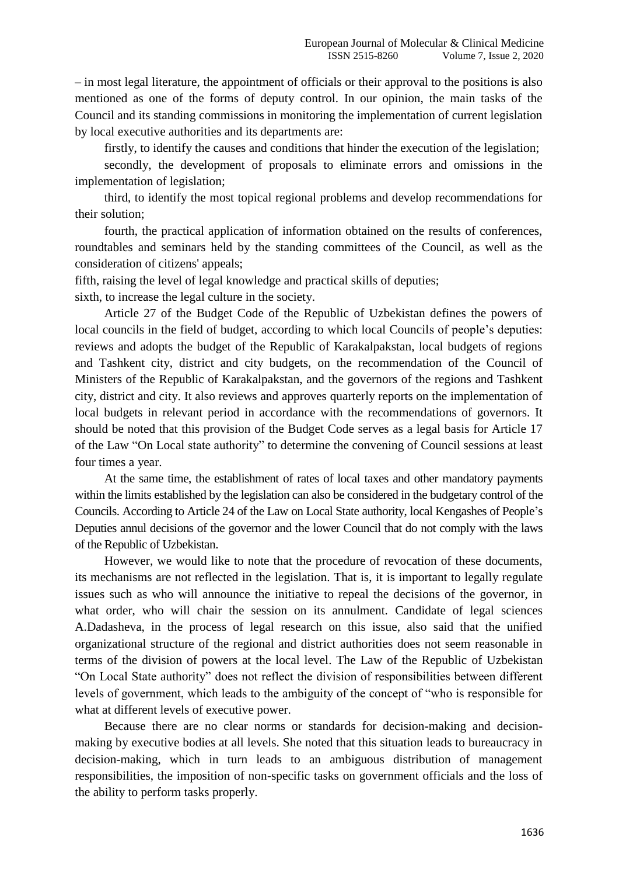– in most legal literature, the appointment of officials or their approval to the positions is also mentioned as one of the forms of deputy control. In our opinion, the main tasks of the Council and its standing commissions in monitoring the implementation of current legislation by local executive authorities and its departments are:

firstly, to identify the causes and conditions that hinder the execution of the legislation;

secondly, the development of proposals to eliminate errors and omissions in the implementation of legislation;

third, to identify the most topical regional problems and develop recommendations for their solution;

fourth, the practical application of information obtained on the results of conferences, roundtables and seminars held by the standing committees of the Council, as well as the consideration of citizens' appeals;

fifth, raising the level of legal knowledge and practical skills of deputies;

sixth, to increase the legal culture in the society.

Article 27 of the Budget Code of the Republic of Uzbekistan defines the powers of local councils in the field of budget, according to which local Councils of people's deputies: reviews and adopts the budget of the Republic of Karakalpakstan, local budgets of regions and Tashkent city, district and city budgets, on the recommendation of the Council of Ministers of the Republic of Karakalpakstan, and the governors of the regions and Tashkent city, district and city. It also reviews and approves quarterly reports on the implementation of local budgets in relevant period in accordance with the recommendations of governors. It should be noted that this provision of the Budget Code serves as a legal basis for Article 17 of the Law "On Local state authority" to determine the convening of Council sessions at least four times a year.

At the same time, the establishment of rates of local taxes and other mandatory payments within the limits established by the legislation can also be considered in the budgetary control of the Councils. According to Article 24 of the Law on Local State authority, local Kengashes of People's Deputies annul decisions of the governor and the lower Council that do not comply with the laws of the Republic of Uzbekistan.

However, we would like to note that the procedure of revocation of these documents, its mechanisms are not reflected in the legislation. That is, it is important to legally regulate issues such as who will announce the initiative to repeal the decisions of the governor, in what order, who will chair the session on its annulment. Candidate of legal sciences A.Dadasheva, in the process of legal research on this issue, also said that the unified organizational structure of the regional and district authorities does not seem reasonable in terms of the division of powers at the local level. The Law of the Republic of Uzbekistan "On Local State authority" does not reflect the division of responsibilities between different levels of government, which leads to the ambiguity of the concept of "who is responsible for what at different levels of executive power.

Because there are no clear norms or standards for decision-making and decisionmaking by executive bodies at all levels. She noted that this situation leads to bureaucracy in decision-making, which in turn leads to an ambiguous distribution of management responsibilities, the imposition of non-specific tasks on government officials and the loss of the ability to perform tasks properly.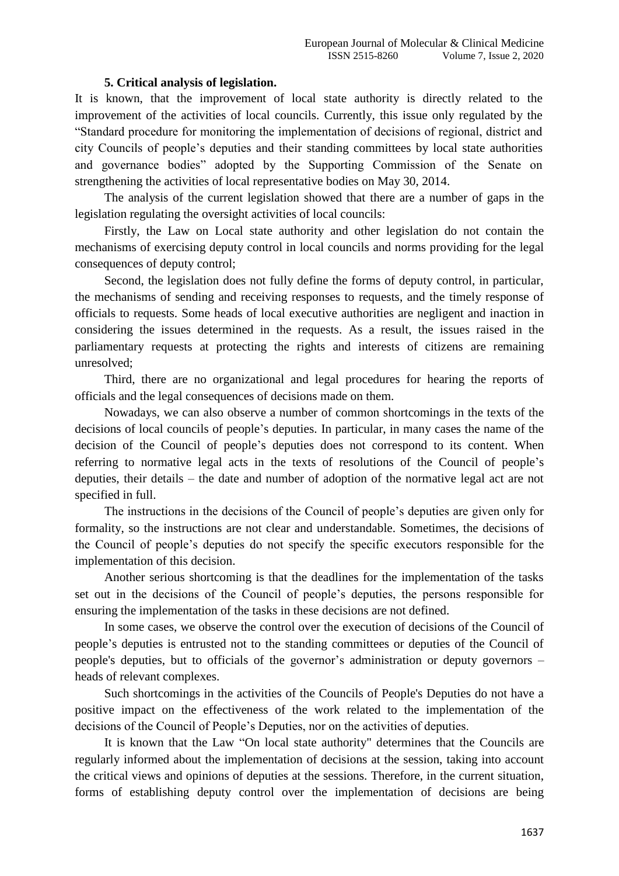## **5. Critical analysis of legislation.**

It is known, that the improvement of local state authority is directly related to the improvement of the activities of local councils. Currently, this issue only regulated by the "Standard procedure for monitoring the implementation of decisions of regional, district and city Councils of people's deputies and their standing committees by local state authorities and governance bodies" adopted by the Supporting Commission of the Senate on strengthening the activities of local representative bodies on May 30, 2014.

The analysis of the current legislation showed that there are a number of gaps in the legislation regulating the oversight activities of local councils:

Firstly, the Law on Local state authority and other legislation do not contain the mechanisms of exercising deputy control in local councils and norms providing for the legal consequences of deputy control;

Second, the legislation does not fully define the forms of deputy control, in particular, the mechanisms of sending and receiving responses to requests, and the timely response of officials to requests. Some heads of local executive authorities are negligent and inaction in considering the issues determined in the requests. As a result, the issues raised in the parliamentary requests at protecting the rights and interests of citizens are remaining unresolved;

Third, there are no organizational and legal procedures for hearing the reports of officials and the legal consequences of decisions made on them.

Nowadays, we can also observe a number of common shortcomings in the texts of the decisions of local councils of people's deputies. In particular, in many cases the name of the decision of the Council of people's deputies does not correspond to its content. When referring to normative legal acts in the texts of resolutions of the Council of people's deputies, their details – the date and number of adoption of the normative legal act are not specified in full.

The instructions in the decisions of the Council of people's deputies are given only for formality, so the instructions are not clear and understandable. Sometimes, the decisions of the Council of people's deputies do not specify the specific executors responsible for the implementation of this decision.

Another serious shortcoming is that the deadlines for the implementation of the tasks set out in the decisions of the Council of people's deputies, the persons responsible for ensuring the implementation of the tasks in these decisions are not defined.

In some cases, we observe the control over the execution of decisions of the Council of people's deputies is entrusted not to the standing committees or deputies of the Council of people's deputies, but to officials of the governor's administration or deputy governors – heads of relevant complexes.

Such shortcomings in the activities of the Councils of People's Deputies do not have a positive impact on the effectiveness of the work related to the implementation of the decisions of the Council of People's Deputies, nor on the activities of deputies.

It is known that the Law "On local state authority" determines that the Councils are regularly informed about the implementation of decisions at the session, taking into account the critical views and opinions of deputies at the sessions. Therefore, in the current situation, forms of establishing deputy control over the implementation of decisions are being